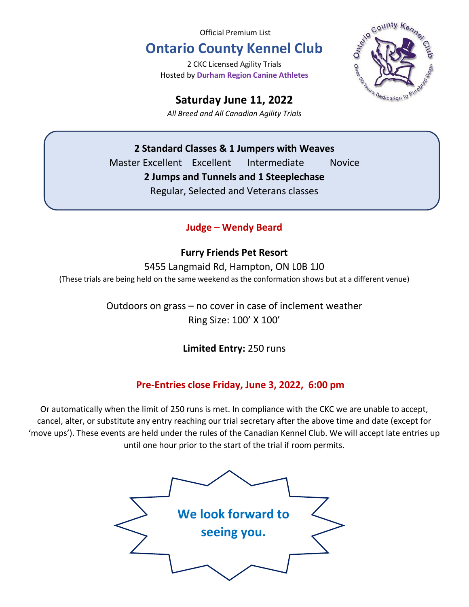Official Premium List

# **Ontario County Kennel Club**

2 CKC Licensed Agility Trials Hosted by **Durham Region Canine Athletes**

# **Saturday June 11, 2022**

*All Breed and All Canadian Agility Trials*



### **2 Standard Classes & 1 Jumpers with Weaves**

Master Excellent Excellent Intermediate Novice **2 Jumps and Tunnels and 1 Steeplechase** Regular, Selected and Veterans classes

### **Judge – Wendy Beard**

### **Furry Friends Pet Resort**

5455 Langmaid Rd, Hampton, ON L0B 1J0 (These trials are being held on the same weekend as the conformation shows but at a different venue)

> Outdoors on grass – no cover in case of inclement weather Ring Size: 100' X 100'

> > **Limited Entry:** 250 runs

# **Pre-Entries close Friday, June 3, 2022, 6:00 pm**

Or automatically when the limit of 250 runs is met. In compliance with the CKC we are unable to accept, cancel, alter, or substitute any entry reaching our trial secretary after the above time and date (except for 'move ups'). These events are held under the rules of the Canadian Kennel Club. We will accept late entries up until one hour prior to the start of the trial if room permits.

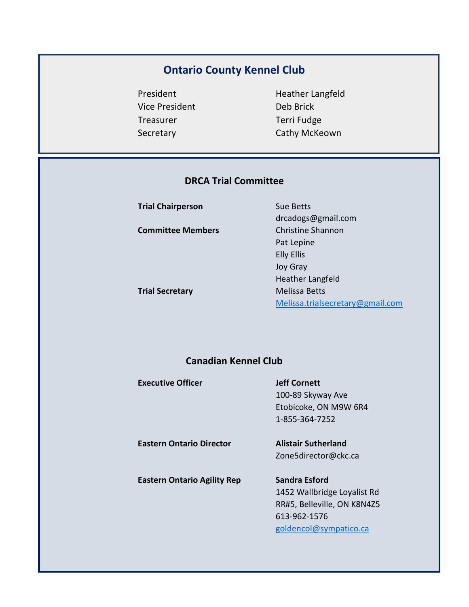## **Ontario County Kennel Club**

Vice President Deb Brick Treasurer Terri Fudge

President Heather Langfeld Secretary Cathy McKeown

### **DRCA Trial Committee**

**Trial Chairperson** Sue Betts

drcadogs@gmail.com **Committee Members** Christine Shannon Pat Lepine Elly Ellis Joy Gray Heather Langfeld **Trial Secretary** Melissa Betts [Melissa.trialsecretary@gmail.com](mailto:Melissa.trialsecretary@gmail.com)

## **Canadian Kennel Club**

| <b>Executive Officer</b>           | <b>Jeff Cornett</b><br>100-89 Skyway Ave<br>Etobicoke, ON M9W 6R4<br>1-855-364-7252                                   |
|------------------------------------|-----------------------------------------------------------------------------------------------------------------------|
| <b>Eastern Ontario Director</b>    | <b>Alistair Sutherland</b><br>Zone5director@ckc.ca                                                                    |
| <b>Eastern Ontario Agility Rep</b> | Sandra Esford<br>1452 Wallbridge Loyalist Rd<br>RR#5, Belleville, ON K8N4Z5<br>613-962-1576<br>goldencol@sympatico.ca |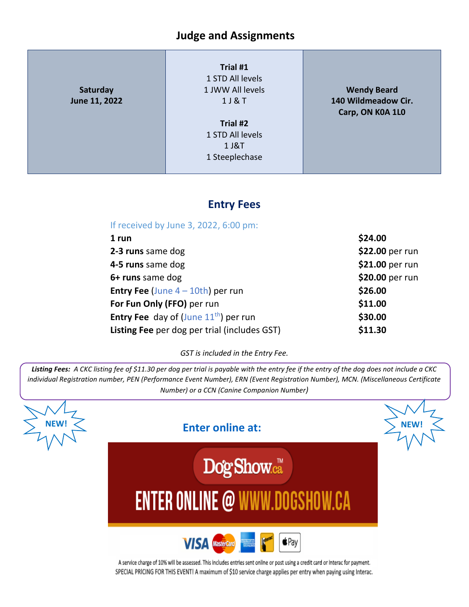# **Judge and Assignments**

| Saturday<br>June 11, 2022 | Trial #1<br>1 STD All levels<br>1 JWW All levels<br>1 J & T<br>Trial #2<br>1 STD All levels<br>1 J&T<br>1 Steeplechase | <b>Wendy Beard</b><br>140 Wildmeadow Cir.<br>Carp, ON K0A 1L0 |
|---------------------------|------------------------------------------------------------------------------------------------------------------------|---------------------------------------------------------------|
|---------------------------|------------------------------------------------------------------------------------------------------------------------|---------------------------------------------------------------|

### **Entry Fees**

If received by June 3, 2022, 6:00 pm:

| 1 run                                                                                       | \$24.00         |
|---------------------------------------------------------------------------------------------|-----------------|
| 2-3 runs same dog                                                                           | \$22.00 per run |
| 4-5 runs same dog                                                                           | \$21.00 per run |
| 6+ runs same dog                                                                            | \$20.00 per run |
| <b>Entry Fee</b> (June $4 - 10$ th) per run                                                 | \$26.00         |
| For Fun Only (FFO) per run                                                                  | \$11.00         |
| <b>Entry Fee</b> day of $\left(\frac{\text{June } 11^{\text{th}}}{\text{?}}\right)$ per run | \$30.00         |
| Listing Fee per dog per trial (includes GST)                                                | \$11.30         |

*GST is included in the Entry Fee.* 

*Listing Fees: A CKC listing fee of \$11.30 per dog per trial is payable with the entry fee if the entry of the dog does not include a CKC individual Registration number, PEN (Performance Event Number), ERN (Event Registration Number), MCN. (Miscellaneous Certificate Number) or a CCN (Canine Companion Number)*



A service charge of 10% will be assessed. This includes entries sent online or post using a credit card or interac for payment.<br>SPECIAL PRICING FOR THIS EVENT! A maximum of \$10 service charge applies per entry when paying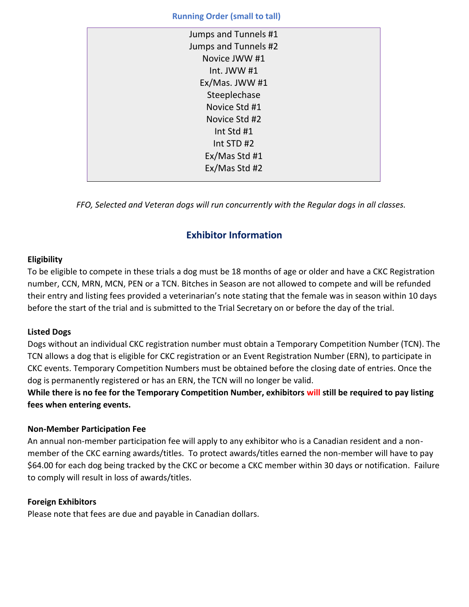#### **Running Order (small to tall)**

| Jumps and Tunnels #1 |
|----------------------|
| Jumps and Tunnels #2 |
| Novice JWW #1        |
| Int. JWW #1          |
| Ex/Mas. JWW #1       |
| Steeplechase         |
| Novice Std #1        |
| Novice Std #2        |
| Int Std #1           |
| Int STD #2           |
| Ex/Mas Std #1        |
| Ex/Mas Std #2        |
|                      |

*FFO, Selected and Veteran dogs will run concurrently with the Regular dogs in all classes.*

### **Exhibitor Information**

#### **Eligibility**

To be eligible to compete in these trials a dog must be 18 months of age or older and have a CKC Registration number, CCN, MRN, MCN, PEN or a TCN. Bitches in Season are not allowed to compete and will be refunded their entry and listing fees provided a veterinarian's note stating that the female was in season within 10 days before the start of the trial and is submitted to the Trial Secretary on or before the day of the trial.

#### **Listed Dogs**

Dogs without an individual CKC registration number must obtain a Temporary Competition Number (TCN). The TCN allows a dog that is eligible for CKC registration or an Event Registration Number (ERN), to participate in CKC events. Temporary Competition Numbers must be obtained before the closing date of entries. Once the dog is permanently registered or has an ERN, the TCN will no longer be valid.

**While there is no fee for the Temporary Competition Number, exhibitors will still be required to pay listing fees when entering events.**

#### **Non-Member Participation Fee**

An annual non-member participation fee will apply to any exhibitor who is a Canadian resident and a nonmember of the CKC earning awards/titles. To protect awards/titles earned the non-member will have to pay \$64.00 for each dog being tracked by the CKC or become a CKC member within 30 days or notification. Failure to comply will result in loss of awards/titles.

#### **Foreign Exhibitors**

Please note that fees are due and payable in Canadian dollars.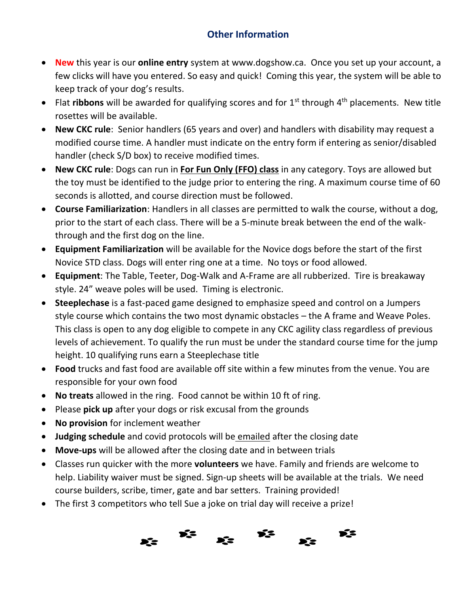# **Other Information**

- **New** this year is our **online entry** system at www.dogshow.ca. Once you set up your account, a few clicks will have you entered. So easy and quick! Coming this year, the system will be able to keep track of your dog's results.
- Flat ribbons will be awarded for qualifying scores and for 1<sup>st</sup> through 4<sup>th</sup> placements. New title rosettes will be available.
- **New CKC rule**: Senior handlers (65 years and over) and handlers with disability may request a modified course time. A handler must indicate on the entry form if entering as senior/disabled handler (check S/D box) to receive modified times.
- **New CKC rule**: Dogs can run in **For Fun Only (FFO) class** in any category. Toys are allowed but the toy must be identified to the judge prior to entering the ring. A maximum course time of 60 seconds is allotted, and course direction must be followed.
- **Course Familiarization**: Handlers in all classes are permitted to walk the course, without a dog, prior to the start of each class. There will be a 5-minute break between the end of the walkthrough and the first dog on the line.
- **Equipment Familiarization** will be available for the Novice dogs before the start of the first Novice STD class. Dogs will enter ring one at a time. No toys or food allowed.
- **Equipment**: The Table, Teeter, Dog-Walk and A-Frame are all rubberized. Tire is breakaway style. 24" weave poles will be used. Timing is electronic.
- **Steeplechase** is a fast-paced game designed to emphasize speed and control on a Jumpers style course which contains the two most dynamic obstacles – the A frame and Weave Poles. This class is open to any dog eligible to compete in any CKC agility class regardless of previous levels of achievement. To qualify the run must be under the standard course time for the jump height. 10 qualifying runs earn a Steeplechase title
- **Food** trucks and fast food are available off site within a few minutes from the venue. You are responsible for your own food
- **No treats** allowed in the ring. Food cannot be within 10 ft of ring.
- Please **pick up** after your dogs or risk excusal from the grounds
- **No provision** for inclement weather
- **Judging schedule** and covid protocols will be emailed after the closing date
- **Move-ups** will be allowed after the closing date and in between trials
- Classes run quicker with the more **volunteers** we have. Family and friends are welcome to help. Liability waiver must be signed. Sign-up sheets will be available at the trials. We need course builders, scribe, timer, gate and bar setters. Training provided!
- The first 3 competitors who tell Sue a joke on trial day will receive a prize!

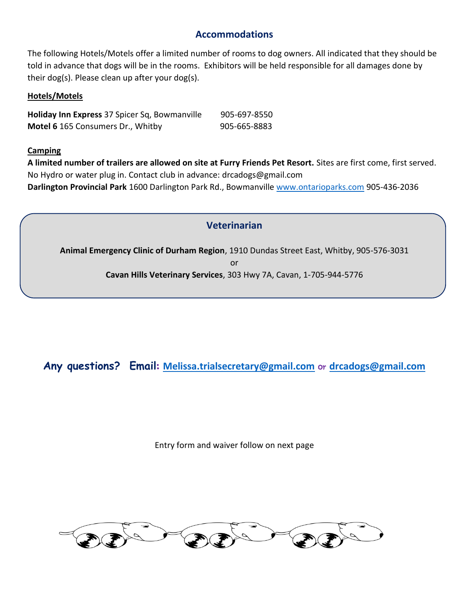### **Accommodations**

The following Hotels/Motels offer a limited number of rooms to dog owners. All indicated that they should be told in advance that dogs will be in the rooms. Exhibitors will be held responsible for all damages done by their dog(s). Please clean up after your dog(s).

#### **Hotels/Motels**

| Holiday Inn Express 37 Spicer Sq, Bowmanville | 905-697-8550 |
|-----------------------------------------------|--------------|
| <b>Motel 6 165 Consumers Dr., Whitby</b>      | 905-665-8883 |

#### **Camping**

**A limited number of trailers are allowed on site at Furry Friends Pet Resort.** Sites are first come, first served. No Hydro or water plug in. Contact club in advance: drcadogs@gmail.com **Darlington Provincial Park** 1600 Darlington Park Rd., Bowmanville [www.ontarioparks.com](http://www.ontarioparks.com/) 905-436-2036

### **Veterinarian**

**Animal Emergency Clinic of Durham Region**, 1910 Dundas Street East, Whitby, 905-576-3031

or

**Cavan Hills Veterinary Services**, 303 Hwy 7A, Cavan, 1-705-944-5776

**Any questions? Email**: **[Melissa.trialsecretary@gmail.com](mailto:Melissa.trialsecretary@gmail.com)** or **[drcadogs@gmail.com](mailto:drcadogs@gmail.com)**

Entry form and waiver follow on next page

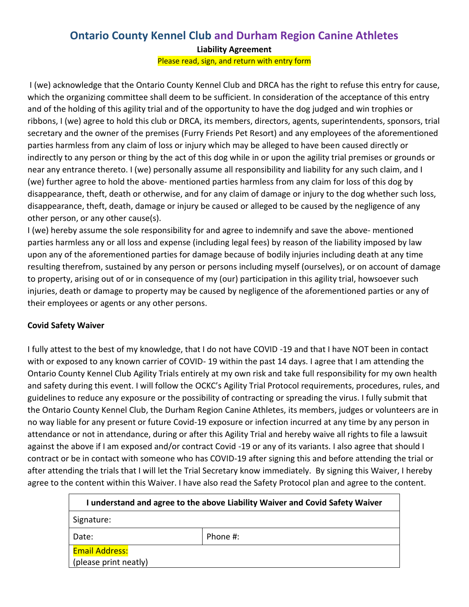# **Ontario County Kennel Club and Durham Region Canine Athletes**

**Liability Agreement**

Please read, sign, and return with entry form

I (we) acknowledge that the Ontario County Kennel Club and DRCA has the right to refuse this entry for cause, which the organizing committee shall deem to be sufficient. In consideration of the acceptance of this entry and of the holding of this agility trial and of the opportunity to have the dog judged and win trophies or ribbons, I (we) agree to hold this club or DRCA, its members, directors, agents, superintendents, sponsors, trial secretary and the owner of the premises (Furry Friends Pet Resort) and any employees of the aforementioned parties harmless from any claim of loss or injury which may be alleged to have been caused directly or indirectly to any person or thing by the act of this dog while in or upon the agility trial premises or grounds or near any entrance thereto. I (we) personally assume all responsibility and liability for any such claim, and I (we) further agree to hold the above- mentioned parties harmless from any claim for loss of this dog by disappearance, theft, death or otherwise, and for any claim of damage or injury to the dog whether such loss, disappearance, theft, death, damage or injury be caused or alleged to be caused by the negligence of any other person, or any other cause(s).

I (we) hereby assume the sole responsibility for and agree to indemnify and save the above- mentioned parties harmless any or all loss and expense (including legal fees) by reason of the liability imposed by law upon any of the aforementioned parties for damage because of bodily injuries including death at any time resulting therefrom, sustained by any person or persons including myself (ourselves), or on account of damage to property, arising out of or in consequence of my (our) participation in this agility trial, howsoever such injuries, death or damage to property may be caused by negligence of the aforementioned parties or any of their employees or agents or any other persons.

#### **Covid Safety Waiver**

I fully attest to the best of my knowledge, that I do not have COVID -19 and that I have NOT been in contact with or exposed to any known carrier of COVID- 19 within the past 14 days. I agree that I am attending the Ontario County Kennel Club Agility Trials entirely at my own risk and take full responsibility for my own health and safety during this event. I will follow the OCKC's Agility Trial Protocol requirements, procedures, rules, and guidelines to reduce any exposure or the possibility of contracting or spreading the virus. I fully submit that the Ontario County Kennel Club, the Durham Region Canine Athletes, its members, judges or volunteers are in no way liable for any present or future Covid-19 exposure or infection incurred at any time by any person in attendance or not in attendance, during or after this Agility Trial and hereby waive all rights to file a lawsuit against the above if I am exposed and/or contract Covid -19 or any of its variants. I also agree that should I contract or be in contact with someone who has COVID-19 after signing this and before attending the trial or after attending the trials that I will let the Trial Secretary know immediately. By signing this Waiver, I hereby agree to the content within this Waiver. I have also read the Safety Protocol plan and agree to the content.

| I understand and agree to the above Liability Waiver and Covid Safety Waiver |          |  |  |
|------------------------------------------------------------------------------|----------|--|--|
| Signature:                                                                   |          |  |  |
| Date:                                                                        | Phone #: |  |  |
| <b>Email Address:</b>                                                        |          |  |  |
| (please print neatly)                                                        |          |  |  |